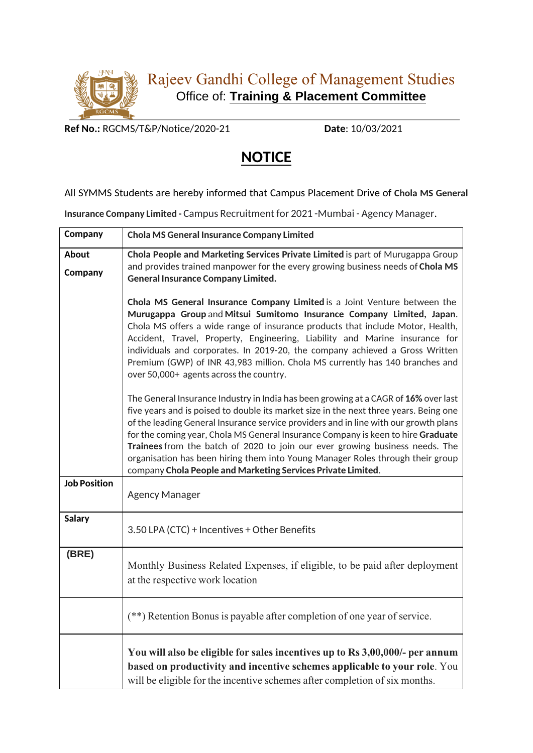

**Ref No.:** RGCMS/T&P/Notice/2020-21 **Date**: 10/03/2021

## **NOTICE**

## All SYMMS Students are hereby informed that Campus Placement Drive of **Chola MS General**

**Insurance Company Limited -** Campus Recruitment for 2021 -Mumbai - Agency Manager.

| Company             | <b>Chola MS General Insurance Company Limited</b>                                                                                                                                                                                                                                                                                                                                                                                                                                                                                                                                          |
|---------------------|--------------------------------------------------------------------------------------------------------------------------------------------------------------------------------------------------------------------------------------------------------------------------------------------------------------------------------------------------------------------------------------------------------------------------------------------------------------------------------------------------------------------------------------------------------------------------------------------|
| About<br>Company    | Chola People and Marketing Services Private Limited is part of Murugappa Group<br>and provides trained manpower for the every growing business needs of Chola MS<br><b>General Insurance Company Limited.</b>                                                                                                                                                                                                                                                                                                                                                                              |
|                     | Chola MS General Insurance Company Limited is a Joint Venture between the<br>Murugappa Group and Mitsui Sumitomo Insurance Company Limited, Japan.<br>Chola MS offers a wide range of insurance products that include Motor, Health,<br>Accident, Travel, Property, Engineering, Liability and Marine insurance for<br>individuals and corporates. In 2019-20, the company achieved a Gross Written<br>Premium (GWP) of INR 43,983 million. Chola MS currently has 140 branches and<br>over 50,000+ agents across the country.                                                             |
|                     | The General Insurance Industry in India has been growing at a CAGR of 16% over last<br>five years and is poised to double its market size in the next three years. Being one<br>of the leading General Insurance service providers and in line with our growth plans<br>for the coming year, Chola MS General Insurance Company is keen to hire Graduate<br>Trainees from the batch of 2020 to join our ever growing business needs. The<br>organisation has been hiring them into Young Manager Roles through their group<br>company Chola People and Marketing Services Private Limited. |
| <b>Job Position</b> | <b>Agency Manager</b>                                                                                                                                                                                                                                                                                                                                                                                                                                                                                                                                                                      |
| <b>Salary</b>       | 3.50 LPA (CTC) + Incentives + Other Benefits                                                                                                                                                                                                                                                                                                                                                                                                                                                                                                                                               |
| (BRE)               | Monthly Business Related Expenses, if eligible, to be paid after deployment<br>at the respective work location                                                                                                                                                                                                                                                                                                                                                                                                                                                                             |
|                     | (**) Retention Bonus is payable after completion of one year of service.                                                                                                                                                                                                                                                                                                                                                                                                                                                                                                                   |
|                     | You will also be eligible for sales incentives up to Rs 3,00,000/- per annum<br>based on productivity and incentive schemes applicable to your role. You<br>will be eligible for the incentive schemes after completion of six months.                                                                                                                                                                                                                                                                                                                                                     |